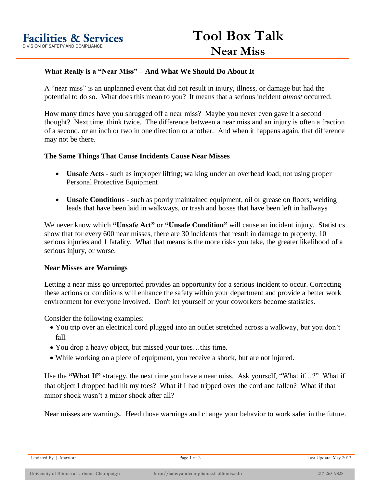## **What Really is a "Near Miss" – And What We Should Do About It**

A "near miss" is an unplanned event that did not result in injury, illness, or damage but had the potential to do so. What does this mean to you? It means that a serious incident *almost* occurred.

How many times have you shrugged off a near miss? Maybe you never even gave it a second thought? Next time, think twice. The difference between a near miss and an injury is often a fraction of a second, or an inch or two in one direction or another. And when it happens again, that difference may not be there.

## **The Same Things That Cause Incidents Cause Near Misses**

- **Unsafe Acts** such as improper lifting; walking under an overhead load; not using proper Personal Protective Equipment
- **Unsafe Conditions** such as poorly maintained equipment, oil or grease on floors, welding leads that have been laid in walkways, or trash and boxes that have been left in hallways

We never know which **"Unsafe Act"** or **"Unsafe Condition"** will cause an incident injury. Statistics show that for every 600 near misses, there are 30 incidents that result in damage to property, 10 serious injuries and 1 fatality. What that means is the more risks you take, the greater likelihood of a serious injury, or worse.

## **Near Misses are Warnings**

Letting a near miss go unreported provides an opportunity for a serious incident to occur. Correcting these actions or conditions will enhance the safety within your department and provide a better work environment for everyone involved. Don't let yourself or your coworkers become statistics.

Consider the following examples:

- You trip over an electrical cord plugged into an outlet stretched across a walkway, but you don't fall.
- You drop a heavy object, but missed your toes…this time.
- While working on a piece of equipment, you receive a shock, but are not injured.

Use the **"What If"** strategy, the next time you have a near miss. Ask yourself, "What if…?" What if that object I dropped had hit my toes? What if I had tripped over the cord and fallen? What if that minor shock wasn't a minor shock after all?

Near misses are warnings. Heed those warnings and change your behavior to work safer in the future.